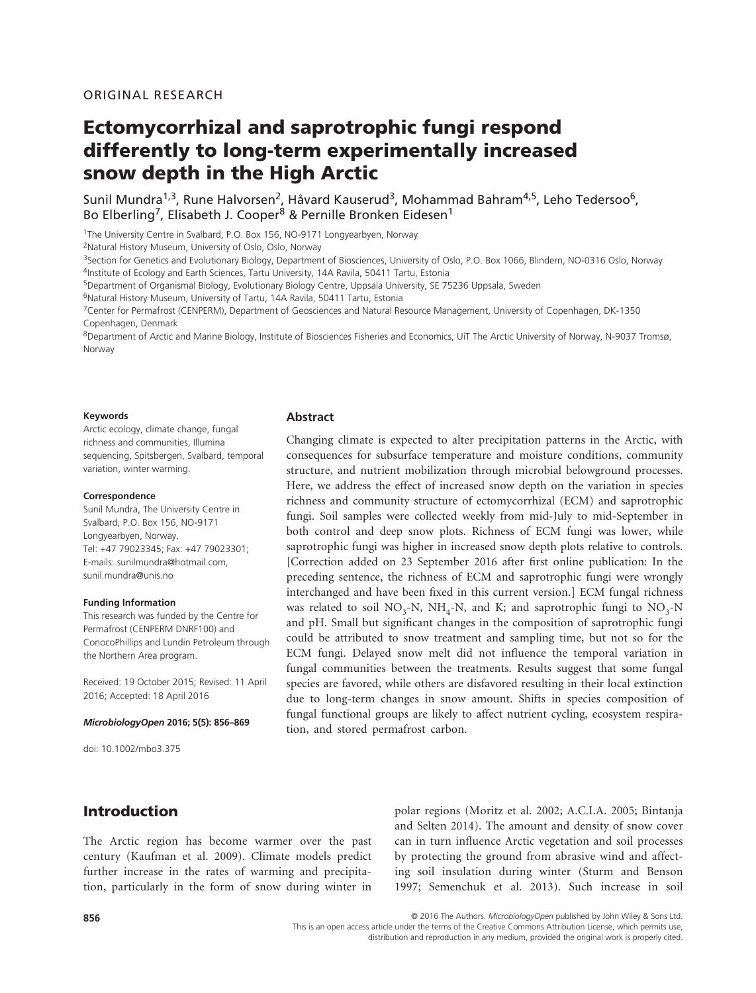# Ectomycorrhizal and saprotrophic fungi respond differently to long-term experimentally increased snow depth in the High Arctic

Sunil Mundra<sup>1,3</sup>, Rune Halvorsen<sup>2</sup>, Håvard Kauserud<sup>3</sup>, Mohammad Bahram<sup>4,5</sup>, Leho Tedersoo<sup>6</sup>, Bo Elberling<sup>7</sup>, Elisabeth J. Cooper<sup>8</sup> & Pernille Bronken Eidesen<sup>1</sup>

<sup>1</sup>The University Centre in Svalbard, P.O. Box 156, NO-9171 Longyearbyen, Norway

2Natural History Museum, University of Oslo, Oslo, Norway

<sup>3</sup>Section for Genetics and Evolutionary Biology, Department of Biosciences, University of Oslo, P.O. Box 1066, Blindern, NO-0316 Oslo, Norway 4Institute of Ecology and Earth Sciences, Tartu University, 14A Ravila, 50411 Tartu, Estonia

5Department of Organismal Biology, Evolutionary Biology Centre, Uppsala University, SE 75236 Uppsala, Sweden

<sup>6</sup>Natural History Museum, University of Tartu, 14A Ravila, 50411 Tartu, Estonia

7Center for Permafrost (CENPERM), Department of Geosciences and Natural Resource Management, University of Copenhagen, DK-1350 Copenhagen, Denmark

8Department of Arctic and Marine Biology, Institute of Biosciences Fisheries and Economics, UiT The Arctic University of Norway, N-9037 Tromsø, Norway

#### **Keywords**

Arctic ecology, climate change, fungal richness and communities, Illumina sequencing, Spitsbergen, Svalbard, temporal variation, winter warming.

#### **Correspondence**

Sunil Mundra, The University Centre in Svalbard, P.O. Box 156, NO-9171 Longyearbyen, Norway. Tel: +47 79023345; Fax: +47 79023301; E-mails: [sunilmundra@hotmail.com,](mailto:sunilmundra@hotmail.com) [sunil.mundra@unis.no](mailto:sunil.mundra@unis.no)

#### **Funding Information**

This research was funded by the Centre for Permafrost (CENPERM DNRF100) and ConocoPhillips and Lundin Petroleum through the Northern Area program.

Received: 19 October 2015; Revised: 11 April 2016; Accepted: 18 April 2016

#### *MicrobiologyOpen* **2016; 5(5): 856–869**

doi: 10.1002/mbo3.375

#### **Abstract**

Changing climate is expected to alter precipitation patterns in the Arctic, with consequences for subsurface temperature and moisture conditions, community structure, and nutrient mobilization through microbial belowground processes. Here, we address the effect of increased snow depth on the variation in species richness and community structure of ectomycorrhizal (ECM) and saprotrophic fungi. Soil samples were collected weekly from mid-July to mid-September in both control and deep snow plots. Richness of ECM fungi was lower, while saprotrophic fungi was higher in increased snow depth plots relative to controls. [Correction added on 23 September 2016 after first online publication: In the preceding sentence, the richness of ECM and saprotrophic fungi were wrongly interchanged and have been fixed in this current version.] ECM fungal richness was related to soil  $NO_3-N$ ,  $NH_4-N$ , and K; and saprotrophic fungi to  $NO_3-N$ and pH. Small but significant changes in the composition of saprotrophic fungi could be attributed to snow treatment and sampling time, but not so for the ECM fungi. Delayed snow melt did not influence the temporal variation in fungal communities between the treatments. Results suggest that some fungal species are favored, while others are disfavored resulting in their local extinction due to long-term changes in snow amount. Shifts in species composition of fungal functional groups are likely to affect nutrient cycling, ecosystem respiration, and stored permafrost carbon.

# Introduction

The Arctic region has become warmer over the past century (Kaufman et al. 2009). Climate models predict further increase in the rates of warming and precipitation, particularly in the form of snow during winter in polar regions (Moritz et al. 2002; A.C.I.A. 2005; Bintanja and Selten 2014). The amount and density of snow cover can in turn influence Arctic vegetation and soil processes by protecting the ground from abrasive wind and affecting soil insulation during winter (Sturm and Benson 1997; Semenchuk et al. 2013). Such increase in soil

© 2016 The Authors. *MicrobiologyOpen* published by John Wiley & Sons Ltd.

This is an open access article under the terms of the Creative Commons Attribution License, which permits use,

distribution and reproduction in any medium, provided the original work is properly cited.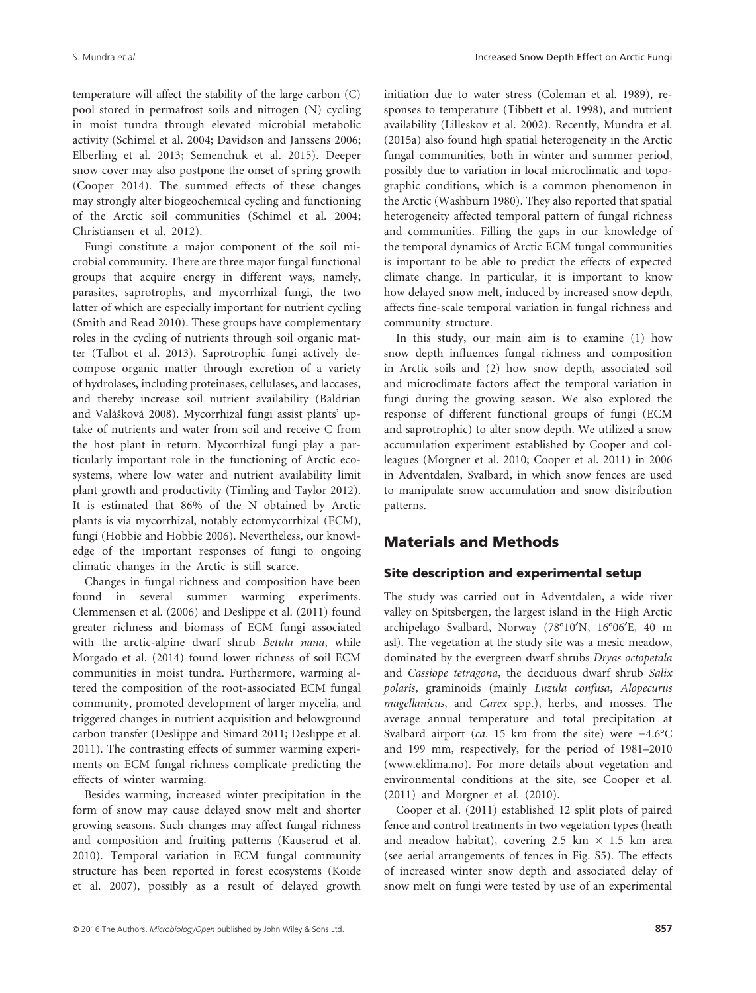temperature will affect the stability of the large carbon (C) pool stored in permafrost soils and nitrogen (N) cycling in moist tundra through elevated microbial metabolic activity (Schimel et al. 2004; Davidson and Janssens 2006; Elberling et al. 2013; Semenchuk et al. 2015). Deeper snow cover may also postpone the onset of spring growth (Cooper 2014). The summed effects of these changes may strongly alter biogeochemical cycling and functioning of the Arctic soil communities (Schimel et al. 2004; Christiansen et al. 2012).

Fungi constitute a major component of the soil microbial community. There are three major fungal functional groups that acquire energy in different ways, namely, parasites, saprotrophs, and mycorrhizal fungi, the two latter of which are especially important for nutrient cycling (Smith and Read 2010). These groups have complementary roles in the cycling of nutrients through soil organic matter (Talbot et al. 2013). Saprotrophic fungi actively decompose organic matter through excretion of a variety of hydrolases, including proteinases, cellulases, and laccases, and thereby increase soil nutrient availability (Baldrian and Valášková 2008). Mycorrhizal fungi assist plants' uptake of nutrients and water from soil and receive C from the host plant in return. Mycorrhizal fungi play a particularly important role in the functioning of Arctic ecosystems, where low water and nutrient availability limit plant growth and productivity (Timling and Taylor 2012). It is estimated that 86% of the N obtained by Arctic plants is via mycorrhizal, notably ectomycorrhizal (ECM), fungi (Hobbie and Hobbie 2006). Nevertheless, our knowledge of the important responses of fungi to ongoing climatic changes in the Arctic is still scarce.

Changes in fungal richness and composition have been found in several summer warming experiments. Clemmensen et al. (2006) and Deslippe et al. (2011) found greater richness and biomass of ECM fungi associated with the arctic-alpine dwarf shrub *Betula nana*, while Morgado et al. (2014) found lower richness of soil ECM communities in moist tundra. Furthermore, warming altered the composition of the root-associated ECM fungal community, promoted development of larger mycelia, and triggered changes in nutrient acquisition and belowground carbon transfer (Deslippe and Simard 2011; Deslippe et al. 2011). The contrasting effects of summer warming experiments on ECM fungal richness complicate predicting the effects of winter warming.

Besides warming, increased winter precipitation in the form of snow may cause delayed snow melt and shorter growing seasons. Such changes may affect fungal richness and composition and fruiting patterns (Kauserud et al. 2010). Temporal variation in ECM fungal community structure has been reported in forest ecosystems (Koide et al. 2007), possibly as a result of delayed growth initiation due to water stress (Coleman et al. 1989), responses to temperature (Tibbett et al. 1998), and nutrient availability (Lilleskov et al. 2002). Recently, Mundra et al. (2015a) also found high spatial heterogeneity in the Arctic fungal communities, both in winter and summer period, possibly due to variation in local microclimatic and topographic conditions, which is a common phenomenon in the Arctic (Washburn 1980). They also reported that spatial heterogeneity affected temporal pattern of fungal richness and communities. Filling the gaps in our knowledge of the temporal dynamics of Arctic ECM fungal communities is important to be able to predict the effects of expected climate change. In particular, it is important to know how delayed snow melt, induced by increased snow depth, affects fine-scale temporal variation in fungal richness and community structure.

In this study, our main aim is to examine (1) how snow depth influences fungal richness and composition in Arctic soils and (2) how snow depth, associated soil and microclimate factors affect the temporal variation in fungi during the growing season. We also explored the response of different functional groups of fungi (ECM and saprotrophic) to alter snow depth. We utilized a snow accumulation experiment established by Cooper and colleagues (Morgner et al. 2010; Cooper et al. 2011) in 2006 in Adventdalen, Svalbard, in which snow fences are used to manipulate snow accumulation and snow distribution patterns.

# Materials and Methods

### Site description and experimental setup

The study was carried out in Adventdalen, a wide river valley on Spitsbergen, the largest island in the High Arctic archipelago Svalbard, Norway (78°10′N, 16°06′E, 40 m asl). The vegetation at the study site was a mesic meadow, dominated by the evergreen dwarf shrubs *Dryas octopetala* and *Cassiope tetragona*, the deciduous dwarf shrub *Salix polaris*, graminoids (mainly *Luzula confusa*, *Alopecurus magellanicus*, and *Carex* spp.), herbs, and mosses. The average annual temperature and total precipitation at Svalbard airport (*ca*. 15 km from the site) were −4.6°C and 199 mm, respectively, for the period of 1981–2010 ([www.eklima.no\)](http://www.eklima.no). For more details about vegetation and environmental conditions at the site, see Cooper et al. (2011) and Morgner et al. (2010).

Cooper et al. (2011) established 12 split plots of paired fence and control treatments in two vegetation types (heath and meadow habitat), covering 2.5 km  $\times$  1.5 km area (see aerial arrangements of fences in Fig. S5). The effects of increased winter snow depth and associated delay of snow melt on fungi were tested by use of an experimental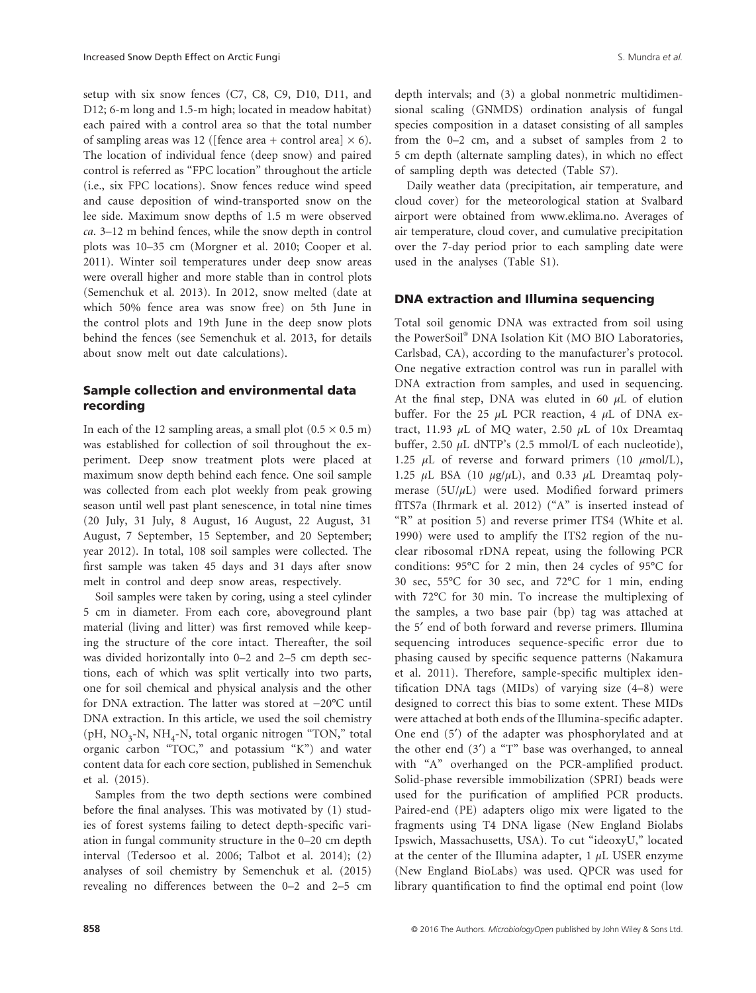setup with six snow fences (C7, C8, C9, D10, D11, and D12; 6-m long and 1.5-m high; located in meadow habitat) each paired with a control area so that the total number of sampling areas was 12 ([fence area + control area]  $\times$  6). The location of individual fence (deep snow) and paired control is referred as "FPC location" throughout the article (i.e., six FPC locations). Snow fences reduce wind speed and cause deposition of wind-transported snow on the lee side. Maximum snow depths of 1.5 m were observed *ca*. 3–12 m behind fences, while the snow depth in control plots was 10–35 cm (Morgner et al. 2010; Cooper et al. 2011). Winter soil temperatures under deep snow areas were overall higher and more stable than in control plots (Semenchuk et al. 2013). In 2012, snow melted (date at which 50% fence area was snow free) on 5th June in the control plots and 19th June in the deep snow plots behind the fences (see Semenchuk et al. 2013, for details about snow melt out date calculations).

### Sample collection and environmental data recording

In each of the 12 sampling areas, a small plot  $(0.5 \times 0.5 \text{ m})$ was established for collection of soil throughout the experiment. Deep snow treatment plots were placed at maximum snow depth behind each fence. One soil sample was collected from each plot weekly from peak growing season until well past plant senescence, in total nine times (20 July, 31 July, 8 August, 16 August, 22 August, 31 August, 7 September, 15 September, and 20 September; year 2012). In total, 108 soil samples were collected. The first sample was taken 45 days and 31 days after snow melt in control and deep snow areas, respectively.

Soil samples were taken by coring, using a steel cylinder 5 cm in diameter. From each core, aboveground plant material (living and litter) was first removed while keeping the structure of the core intact. Thereafter, the soil was divided horizontally into 0–2 and 2–5 cm depth sections, each of which was split vertically into two parts, one for soil chemical and physical analysis and the other for DNA extraction. The latter was stored at −20°C until DNA extraction. In this article, we used the soil chemistry (pH,  $NO_3-N$ ,  $NH_4-N$ , total organic nitrogen "TON," total organic carbon "TOC," and potassium "K") and water content data for each core section, published in Semenchuk et al. (2015).

Samples from the two depth sections were combined before the final analyses. This was motivated by (1) studies of forest systems failing to detect depth-specific variation in fungal community structure in the 0–20 cm depth interval (Tedersoo et al. 2006; Talbot et al. 2014); (2) analyses of soil chemistry by Semenchuk et al. (2015) revealing no differences between the 0–2 and 2–5 cm depth intervals; and (3) a global nonmetric multidimensional scaling (GNMDS) ordination analysis of fungal species composition in a dataset consisting of all samples from the 0–2 cm, and a subset of samples from 2 to 5 cm depth (alternate sampling dates), in which no effect of sampling depth was detected (Table S7).

Daily weather data (precipitation, air temperature, and cloud cover) for the meteorological station at Svalbard airport were obtained from [www.eklima.no](http://www.eklima.no). Averages of air temperature, cloud cover, and cumulative precipitation over the 7-day period prior to each sampling date were used in the analyses (Table S1).

#### DNA extraction and Illumina sequencing

Total soil genomic DNA was extracted from soil using the PowerSoil® DNA Isolation Kit (MO BIO Laboratories, Carlsbad, CA), according to the manufacturer's protocol. One negative extraction control was run in parallel with DNA extraction from samples, and used in sequencing. At the final step, DNA was eluted in 60 *μ*L of elution buffer. For the 25 *μ*L PCR reaction, 4 *μ*L of DNA extract, 11.93 *μ*L of MQ water, 2.50 *μ*L of 10x Dreamtaq buffer, 2.50 *μ*L dNTP's (2.5 mmol/L of each nucleotide), 1.25 *μ*L of reverse and forward primers (10 *μ*mol/L), 1.25 *μ*L BSA (10 *μ*g/*μ*L), and 0.33 *μ*L Dreamtaq polymerase (5U/*μ*L) were used. Modified forward primers fITS7a (Ihrmark et al. 2012) ("A" is inserted instead of "R" at position 5) and reverse primer ITS4 (White et al. 1990) were used to amplify the ITS2 region of the nuclear ribosomal rDNA repeat, using the following PCR conditions: 95°C for 2 min, then 24 cycles of 95°C for 30 sec, 55°C for 30 sec, and 72°C for 1 min, ending with 72°C for 30 min. To increase the multiplexing of the samples, a two base pair (bp) tag was attached at the 5′ end of both forward and reverse primers. Illumina sequencing introduces sequence-specific error due to phasing caused by specific sequence patterns (Nakamura et al. 2011). Therefore, sample-specific multiplex identification DNA tags (MIDs) of varying size (4–8) were designed to correct this bias to some extent. These MIDs were attached at both ends of the Illumina-specific adapter. One end (5′) of the adapter was phosphorylated and at the other end  $(3')$  a "T" base was overhanged, to anneal with "A" overhanged on the PCR-amplified product. Solid-phase reversible immobilization (SPRI) beads were used for the purification of amplified PCR products. Paired-end (PE) adapters oligo mix were ligated to the fragments using T4 DNA ligase (New England Biolabs Ipswich, Massachusetts, USA). To cut "ideoxyU," located at the center of the Illumina adapter, 1 *μ*L USER enzyme (New England BioLabs) was used. QPCR was used for library quantification to find the optimal end point (low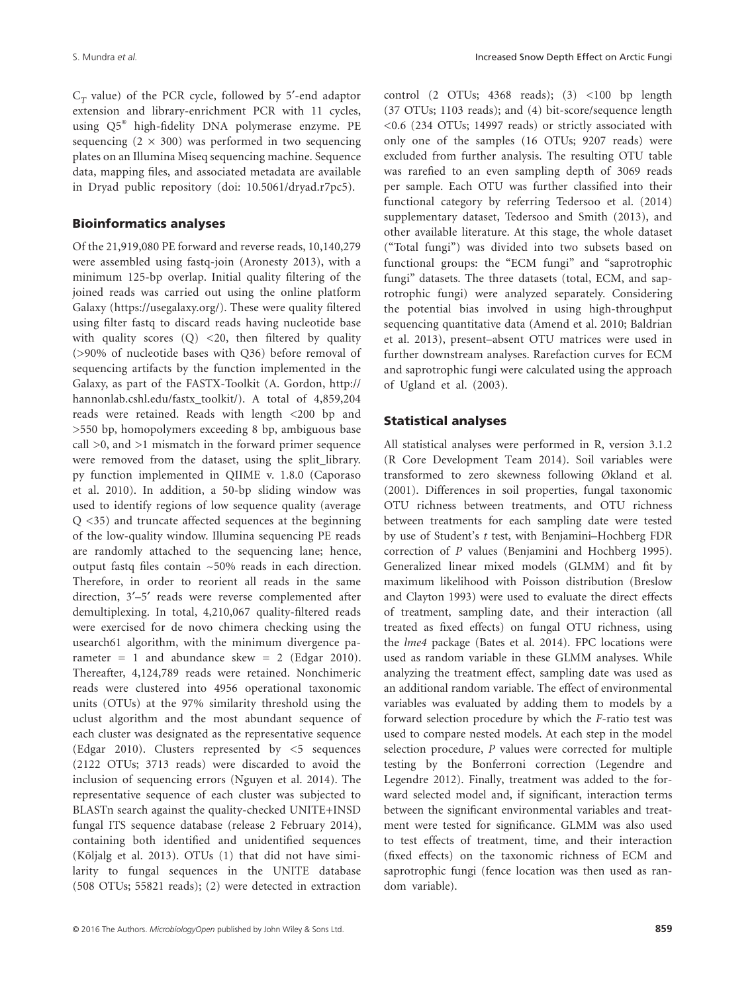$C_T$  value) of the PCR cycle, followed by 5'-end adaptor extension and library-enrichment PCR with 11 cycles, using Q5® high-fidelity DNA polymerase enzyme. PE sequencing  $(2 \times 300)$  was performed in two sequencing plates on an Illumina Miseq sequencing machine. Sequence data, mapping files, and associated metadata are available in Dryad public repository (doi: [10.5061/dryad.r7pc5\)](http://dx.doi.org/10.5061/dryad.r7pc5).

#### Bioinformatics analyses

Of the 21,919,080 PE forward and reverse reads, 10,140,279 were assembled using fastq-join (Aronesty 2013), with a minimum 125-bp overlap. Initial quality filtering of the joined reads was carried out using the online platform Galaxy ([https://usegalaxy.org/\)](https://usegalaxy.org/). These were quality filtered using filter fastq to discard reads having nucleotide base with quality scores  $(Q)$  <20, then filtered by quality (>90% of nucleotide bases with Q36) before removal of sequencing artifacts by the function implemented in the Galaxy, as part of the FASTX-Toolkit (A. Gordon, [http://](http://hannonlab.cshl.edu/fastx_toolkit/) [hannonlab.cshl.edu/fastx\\_toolkit/](http://hannonlab.cshl.edu/fastx_toolkit/)). A total of 4,859,204 reads were retained. Reads with length <200 bp and >550 bp, homopolymers exceeding 8 bp, ambiguous base call >0, and >1 mismatch in the forward primer sequence were removed from the dataset, using the split library. py function implemented in QIIME v. 1.8.0 (Caporaso et al. 2010). In addition, a 50-bp sliding window was used to identify regions of low sequence quality (average Q <35) and truncate affected sequences at the beginning of the low-quality window. Illumina sequencing PE reads are randomly attached to the sequencing lane; hence, output fastq files contain ~50% reads in each direction. Therefore, in order to reorient all reads in the same direction, 3′–5′ reads were reverse complemented after demultiplexing. In total, 4,210,067 quality-filtered reads were exercised for de novo chimera checking using the usearch61 algorithm, with the minimum divergence parameter = 1 and abundance skew = 2 (Edgar 2010). Thereafter, 4,124,789 reads were retained. Nonchimeric reads were clustered into 4956 operational taxonomic units (OTUs) at the 97% similarity threshold using the uclust algorithm and the most abundant sequence of each cluster was designated as the representative sequence (Edgar 2010). Clusters represented by <5 sequences (2122 OTUs; 3713 reads) were discarded to avoid the inclusion of sequencing errors (Nguyen et al. 2014). The representative sequence of each cluster was subjected to BLASTn search against the quality-checked UNITE+INSD fungal ITS sequence database (release 2 February 2014), containing both identified and unidentified sequences (Kõljalg et al. 2013). OTUs (1) that did not have similarity to fungal sequences in the UNITE database (508 OTUs; 55821 reads); (2) were detected in extraction control  $(2$  OTUs;  $4368$  reads);  $(3)$  <100 bp length (37 OTUs; 1103 reads); and (4) bit-score/sequence length <0.6 (234 OTUs; 14997 reads) or strictly associated with only one of the samples (16 OTUs; 9207 reads) were excluded from further analysis. The resulting OTU table was rarefied to an even sampling depth of 3069 reads per sample. Each OTU was further classified into their functional category by referring Tedersoo et al. (2014) supplementary dataset, Tedersoo and Smith (2013), and other available literature. At this stage, the whole dataset ("Total fungi") was divided into two subsets based on functional groups: the "ECM fungi" and "saprotrophic fungi" datasets. The three datasets (total, ECM, and saprotrophic fungi) were analyzed separately. Considering the potential bias involved in using high-throughput sequencing quantitative data (Amend et al. 2010; Baldrian et al. 2013), present–absent OTU matrices were used in further downstream analyses. Rarefaction curves for ECM and saprotrophic fungi were calculated using the approach of Ugland et al. (2003).

#### Statistical analyses

All statistical analyses were performed in R, version 3.1.2 (R Core Development Team 2014). Soil variables were transformed to zero skewness following Økland et al. (2001). Differences in soil properties, fungal taxonomic OTU richness between treatments, and OTU richness between treatments for each sampling date were tested by use of Student's *t* test, with Benjamini–Hochberg FDR correction of *P* values (Benjamini and Hochberg 1995). Generalized linear mixed models (GLMM) and fit by maximum likelihood with Poisson distribution (Breslow and Clayton 1993) were used to evaluate the direct effects of treatment, sampling date, and their interaction (all treated as fixed effects) on fungal OTU richness, using the *lme4* package (Bates et al. 2014). FPC locations were used as random variable in these GLMM analyses. While analyzing the treatment effect, sampling date was used as an additional random variable. The effect of environmental variables was evaluated by adding them to models by a forward selection procedure by which the *F*-ratio test was used to compare nested models. At each step in the model selection procedure, *P* values were corrected for multiple testing by the Bonferroni correction (Legendre and Legendre 2012). Finally, treatment was added to the forward selected model and, if significant, interaction terms between the significant environmental variables and treatment were tested for significance. GLMM was also used to test effects of treatment, time, and their interaction (fixed effects) on the taxonomic richness of ECM and saprotrophic fungi (fence location was then used as random variable).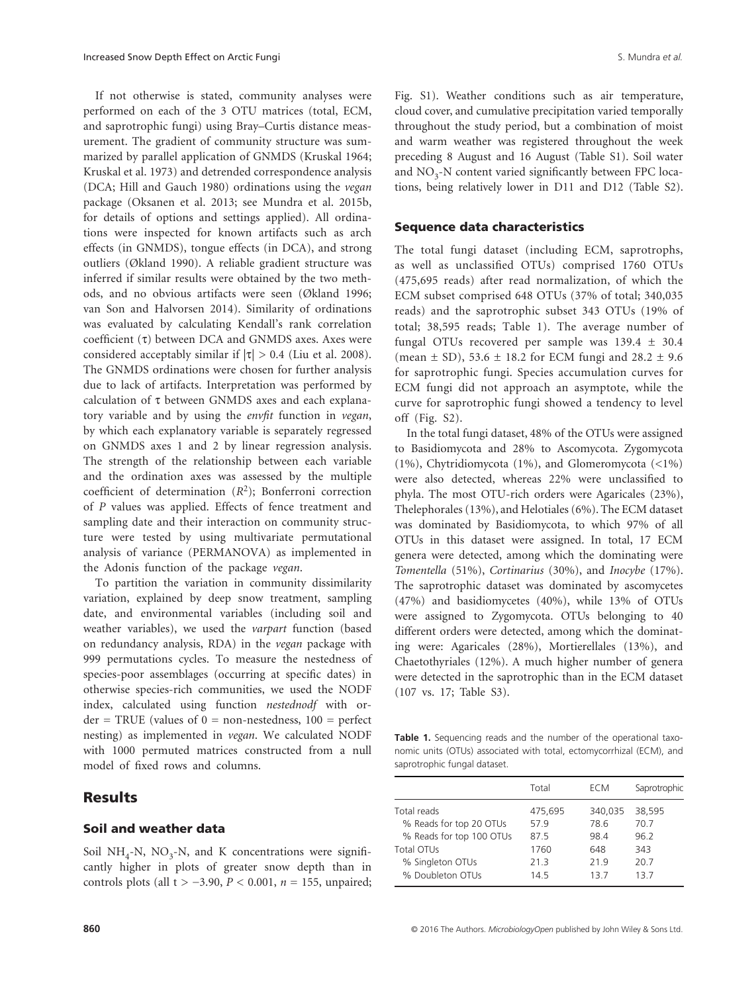If not otherwise is stated, community analyses were performed on each of the 3 OTU matrices (total, ECM, and saprotrophic fungi) using Bray–Curtis distance measurement. The gradient of community structure was summarized by parallel application of GNMDS (Kruskal 1964; Kruskal et al. 1973) and detrended correspondence analysis (DCA; Hill and Gauch 1980) ordinations using the *vegan* package (Oksanen et al. 2013; see Mundra et al. 2015b, for details of options and settings applied). All ordinations were inspected for known artifacts such as arch effects (in GNMDS), tongue effects (in DCA), and strong outliers (Økland 1990). A reliable gradient structure was inferred if similar results were obtained by the two methods, and no obvious artifacts were seen (Økland 1996; van Son and Halvorsen 2014). Similarity of ordinations was evaluated by calculating Kendall's rank correlation coefficient (τ) between DCA and GNMDS axes. Axes were considered acceptably similar if  $|\tau| > 0.4$  (Liu et al. 2008). The GNMDS ordinations were chosen for further analysis due to lack of artifacts. Interpretation was performed by calculation of τ between GNMDS axes and each explanatory variable and by using the *envfit* function in *vegan*, by which each explanatory variable is separately regressed on GNMDS axes 1 and 2 by linear regression analysis. The strength of the relationship between each variable and the ordination axes was assessed by the multiple coefficient of determination (*R*2); Bonferroni correction of *P* values was applied. Effects of fence treatment and sampling date and their interaction on community structure were tested by using multivariate permutational analysis of variance (PERMANOVA) as implemented in the Adonis function of the package *vegan*.

To partition the variation in community dissimilarity variation, explained by deep snow treatment, sampling date, and environmental variables (including soil and weather variables), we used the *varpart* function (based on redundancy analysis, RDA) in the *vegan* package with 999 permutations cycles. To measure the nestedness of species-poor assemblages (occurring at specific dates) in otherwise species-rich communities, we used the NODF index, calculated using function *nestednodf* with or $der = TRUE$  (values of  $0 = non-nestedness$ ,  $100 = perfect$ nesting) as implemented in *vegan*. We calculated NODF with 1000 permuted matrices constructed from a null model of fixed rows and columns.

### **Results**

### Soil and weather data

Soil NH<sub>4</sub>-N, NO<sub>3</sub>-N, and K concentrations were significantly higher in plots of greater snow depth than in controls plots (all t > −3.90, *P* < 0.001, *n* = 155, unpaired; Fig. S1). Weather conditions such as air temperature, cloud cover, and cumulative precipitation varied temporally throughout the study period, but a combination of moist and warm weather was registered throughout the week preceding 8 August and 16 August (Table S1). Soil water and  $NO<sub>3</sub>$ -N content varied significantly between FPC locations, being relatively lower in D11 and D12 (Table S2).

#### Sequence data characteristics

The total fungi dataset (including ECM, saprotrophs, as well as unclassified OTUs) comprised 1760 OTUs (475,695 reads) after read normalization, of which the ECM subset comprised 648 OTUs (37% of total; 340,035 reads) and the saprotrophic subset 343 OTUs (19% of total; 38,595 reads; Table 1). The average number of fungal OTUs recovered per sample was  $139.4 \pm 30.4$ (mean  $\pm$  SD), 53.6  $\pm$  18.2 for ECM fungi and 28.2  $\pm$  9.6 for saprotrophic fungi. Species accumulation curves for ECM fungi did not approach an asymptote, while the curve for saprotrophic fungi showed a tendency to level off (Fig. S2).

In the total fungi dataset, 48% of the OTUs were assigned to Basidiomycota and 28% to Ascomycota. Zygomycota (1%), Chytridiomycota (1%), and Glomeromycota (<1%) were also detected, whereas 22% were unclassified to phyla. The most OTU-rich orders were Agaricales (23%), Thelephorales (13%), and Helotiales (6%). The ECM dataset was dominated by Basidiomycota, to which 97% of all OTUs in this dataset were assigned. In total, 17 ECM genera were detected, among which the dominating were *Tomentella* (51%), *Cortinarius* (30%), and *Inocybe* (17%). The saprotrophic dataset was dominated by ascomycetes (47%) and basidiomycetes (40%), while 13% of OTUs were assigned to Zygomycota. OTUs belonging to 40 different orders were detected, among which the dominating were: Agaricales (28%), Mortierellales (13%), and Chaetothyriales (12%). A much higher number of genera were detected in the saprotrophic than in the ECM dataset (107 vs. 17; Table S3).

**Table 1.** Sequencing reads and the number of the operational taxonomic units (OTUs) associated with total, ectomycorrhizal (ECM), and saprotrophic fungal dataset.

|                          | Total   | ECM     | Saprotrophic |
|--------------------------|---------|---------|--------------|
| Total reads              | 475,695 | 340,035 | 38,595       |
| % Reads for top 20 OTUs  | 579     | 78.6    | 70.7         |
| % Reads for top 100 OTUs | 87.5    | 98.4    | 96.2         |
| Total OTUs               | 1760    | 648     | 343          |
| % Singleton OTUs         | 21.3    | 219     | 20.7         |
| % Doubleton OTUs         | 14.5    | 137     | 137          |
|                          |         |         |              |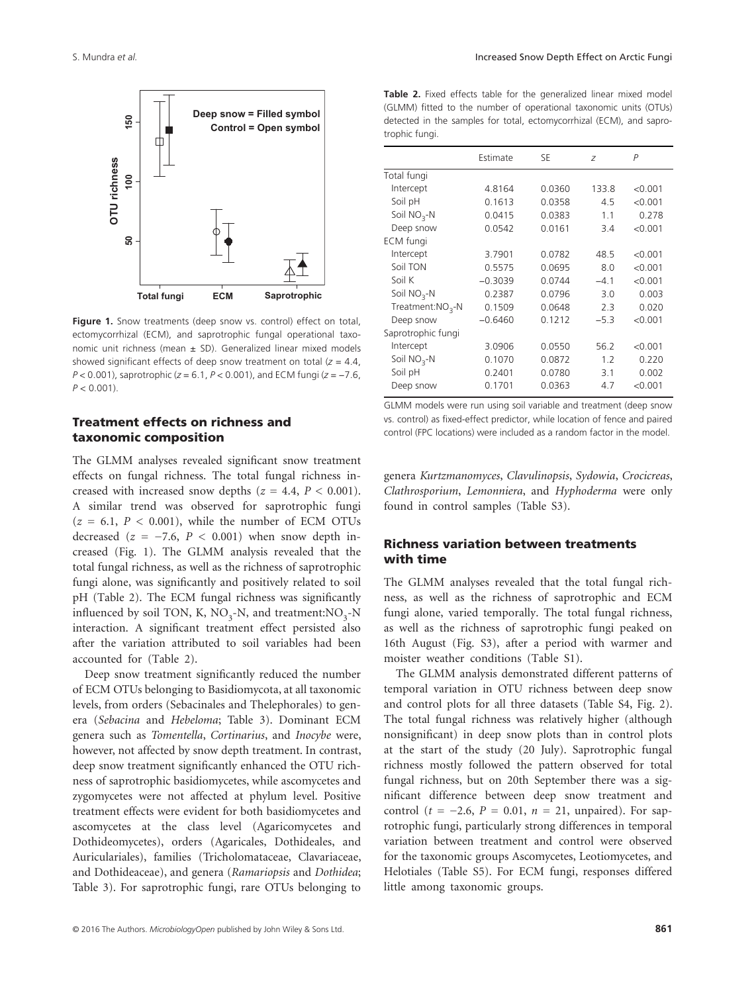

**Produces**<br>**Produces**<br>**Produces**<br>**Produce**<br>**P** < 0.001).<br>P < 0.001). **Figure 1.** Snow treatments (deep snow vs. control) effect on total, ectomycorrhizal (ECM), and saprotrophic fungal operational taxonomic unit richness (mean  $\pm$  SD). Generalized linear mixed models showed significant effects of deep snow treatment on total (*z* = 4.4, *P* < 0.001), saprotrophic (*z* = 6.1, *P* < 0.001), and ECM fungi (*z* = −7.6,  $P < 0.001$ 

#### Treatment effects on richness and taxonomic composition

The GLMM analyses revealed significant snow treatment effects on fungal richness. The total fungal richness increased with increased snow depths  $(z = 4.4, P < 0.001)$ . A similar trend was observed for saprotrophic fungi  $(z = 6.1, P < 0.001)$ , while the number of ECM OTUs decreased  $(z = -7.6, P < 0.001)$  when snow depth increased (Fig. 1). The GLMM analysis revealed that the total fungal richness, as well as the richness of saprotrophic fungi alone, was significantly and positively related to soil pH (Table 2). The ECM fungal richness was significantly influenced by soil TON, K,  $NO<sub>3</sub>$ -N, and treatment: $NO<sub>3</sub>$ -N interaction. A significant treatment effect persisted also after the variation attributed to soil variables had been accounted for (Table 2).

Deep snow treatment significantly reduced the number of ECM OTUs belonging to Basidiomycota, at all taxonomic levels, from orders (Sebacinales and Thelephorales) to genera (*Sebacina* and *Hebeloma*; Table 3). Dominant ECM genera such as *Tomentella*, *Cortinarius*, and *Inocybe* were, however, not affected by snow depth treatment. In contrast, deep snow treatment significantly enhanced the OTU richness of saprotrophic basidiomycetes, while ascomycetes and zygomycetes were not affected at phylum level. Positive treatment effects were evident for both basidiomycetes and ascomycetes at the class level (Agaricomycetes and Dothideomycetes), orders (Agaricales, Dothideales, and Auriculariales), families (Tricholomataceae, Clavariaceae, and Dothideaceae), and genera (*Ramariopsis* and *Dothidea*; Table 3). For saprotrophic fungi, rare OTUs belonging to

**Table 2.** Fixed effects table for the generalized linear mixed model (GLMM) fitted to the number of operational taxonomic units (OTUs) detected in the samples for total, ectomycorrhizal (ECM), and saprotrophic fungi.

|                    | Estimate  | SE     | Z      | Ρ       |
|--------------------|-----------|--------|--------|---------|
| Total fungi        |           |        |        |         |
| Intercept          | 4.8164    | 0.0360 | 133.8  | < 0.001 |
| Soil pH            | 0.1613    | 0.0358 | 4.5    | < 0.001 |
| Soil $NO3$ -N      | 0.0415    | 0.0383 | 1.1    | 0.278   |
| Deep snow          | 0.0542    | 0.0161 | 3.4    | < 0.001 |
| ECM fungi          |           |        |        |         |
| Intercept          | 3.7901    | 0.0782 | 48.5   | < 0.001 |
| Soil TON           | 0.5575    | 0.0695 | 8.0    | < 0.001 |
| Soil K             | $-0.3039$ | 0.0744 | $-4.1$ | < 0.001 |
| Soil $NO3$ -N      | 0.2387    | 0.0796 | 3.0    | 0.003   |
| $Treatment:NO3-N$  | 0.1509    | 0.0648 | 2.3    | 0.020   |
| Deep snow          | $-0.6460$ | 0.1212 | $-5.3$ | < 0.001 |
| Saprotrophic fungi |           |        |        |         |
| Intercept          | 3.0906    | 0.0550 | 56.2   | < 0.001 |
| Soil $NO3$ -N      | 0.1070    | 0.0872 | 1.2    | 0.220   |
| Soil pH            | 0.2401    | 0.0780 | 3.1    | 0.002   |
| Deep snow          | 0.1701    | 0.0363 | 4.7    | < 0.001 |

GLMM models were run using soil variable and treatment (deep snow vs. control) as fixed-effect predictor, while location of fence and paired control (FPC locations) were included as a random factor in the model.

genera *Kurtzmanomyces*, *Clavulinopsis*, *Sydowia*, *Crocicreas*, *Clathrosporium*, *Lemonniera*, and *Hyphoderma* were only found in control samples (Table S3).

### Richness variation between treatments with time

The GLMM analyses revealed that the total fungal richness, as well as the richness of saprotrophic and ECM fungi alone, varied temporally. The total fungal richness, as well as the richness of saprotrophic fungi peaked on 16th August (Fig. S3), after a period with warmer and moister weather conditions (Table S1).

The GLMM analysis demonstrated different patterns of temporal variation in OTU richness between deep snow and control plots for all three datasets (Table S4, Fig. 2). The total fungal richness was relatively higher (although nonsignificant) in deep snow plots than in control plots at the start of the study (20 July). Saprotrophic fungal richness mostly followed the pattern observed for total fungal richness, but on 20th September there was a significant difference between deep snow treatment and control (*t* = −2.6, *P* = 0.01, *n* = 21, unpaired). For saprotrophic fungi, particularly strong differences in temporal variation between treatment and control were observed for the taxonomic groups Ascomycetes, Leotiomycetes, and Helotiales (Table S5). For ECM fungi, responses differed little among taxonomic groups.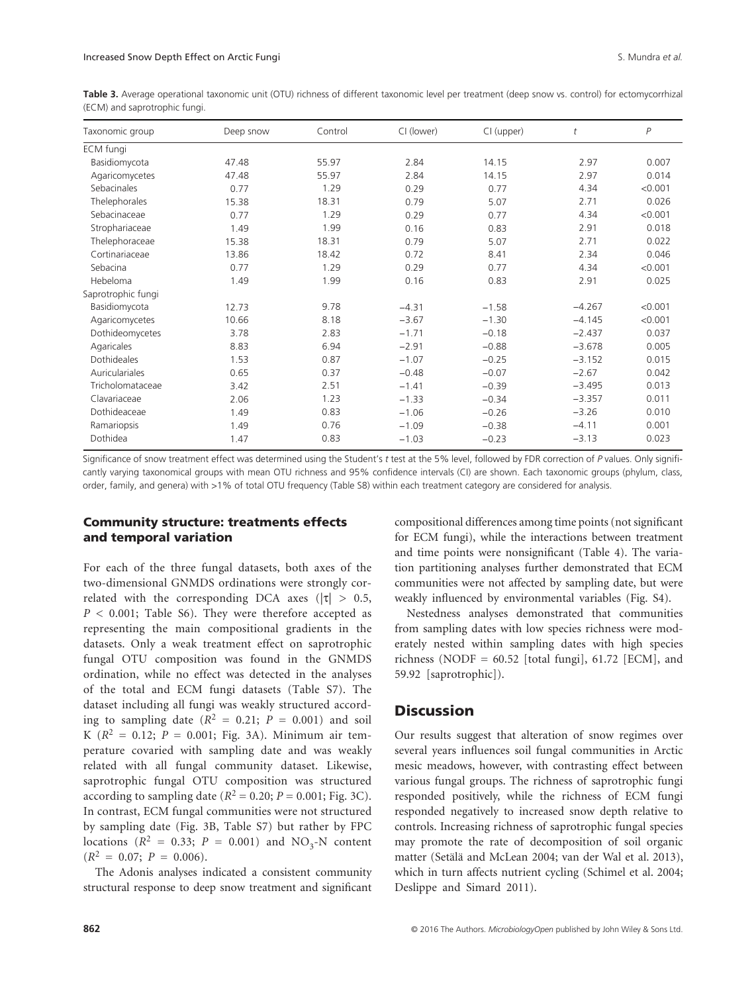**Table 3.** Average operational taxonomic unit (OTU) richness of different taxonomic level per treatment (deep snow vs. control) for ectomycorrhizal (ECM) and saprotrophic fungi.

| Taxonomic group    | Deep snow | Control | CI (lower) | CI (upper) | t        | $\overline{P}$ |
|--------------------|-----------|---------|------------|------------|----------|----------------|
| <b>ECM</b> fungi   |           |         |            |            |          |                |
| Basidiomycota      | 47.48     | 55.97   | 2.84       | 14.15      | 2.97     | 0.007          |
| Agaricomycetes     | 47.48     | 55.97   | 2.84       | 14.15      | 2.97     | 0.014          |
| Sebacinales        | 0.77      | 1.29    | 0.29       | 0.77       | 4.34     | < 0.001        |
| Thelephorales      | 15.38     | 18.31   | 0.79       | 5.07       | 2.71     | 0.026          |
| Sebacinaceae       | 0.77      | 1.29    | 0.29       | 0.77       | 4.34     | < 0.001        |
| Strophariaceae     | 1.49      | 1.99    | 0.16       | 0.83       | 2.91     | 0.018          |
| Thelephoraceae     | 15.38     | 18.31   | 0.79       | 5.07       | 2.71     | 0.022          |
| Cortinariaceae     | 13.86     | 18.42   | 0.72       | 8.41       | 2.34     | 0.046          |
| Sebacina           | 0.77      | 1.29    | 0.29       | 0.77       | 4.34     | < 0.001        |
| Hebeloma           | 1.49      | 1.99    | 0.16       | 0.83       | 2.91     | 0.025          |
| Saprotrophic fungi |           |         |            |            |          |                |
| Basidiomycota      | 12.73     | 9.78    | $-4.31$    | $-1.58$    | $-4.267$ | < 0.001        |
| Agaricomycetes     | 10.66     | 8.18    | $-3.67$    | $-1.30$    | $-4.145$ | < 0.001        |
| Dothideomycetes    | 3.78      | 2.83    | $-1.71$    | $-0.18$    | $-2.437$ | 0.037          |
| Agaricales         | 8.83      | 6.94    | $-2.91$    | $-0.88$    | $-3.678$ | 0.005          |
| Dothideales        | 1.53      | 0.87    | $-1.07$    | $-0.25$    | $-3.152$ | 0.015          |
| Auriculariales     | 0.65      | 0.37    | $-0.48$    | $-0.07$    | $-2.67$  | 0.042          |
| Tricholomataceae   | 3.42      | 2.51    | $-1.41$    | $-0.39$    | $-3.495$ | 0.013          |
| Clavariaceae       | 2.06      | 1.23    | $-1.33$    | $-0.34$    | $-3.357$ | 0.011          |
| Dothideaceae       | 1.49      | 0.83    | $-1.06$    | $-0.26$    | $-3.26$  | 0.010          |
| Ramariopsis        | 1.49      | 0.76    | $-1.09$    | $-0.38$    | $-4.11$  | 0.001          |
| Dothidea           | 1.47      | 0.83    | $-1.03$    | $-0.23$    | $-3.13$  | 0.023          |

Significance of snow treatment effect was determined using the Student's *t* test at the 5% level, followed by FDR correction of *P* values. Only significantly varying taxonomical groups with mean OTU richness and 95% confidence intervals (CI) are shown. Each taxonomic groups (phylum, class, order, family, and genera) with >1% of total OTU frequency (Table S8) within each treatment category are considered for analysis.

#### Community structure: treatments effects and temporal variation

For each of the three fungal datasets, both axes of the two-dimensional GNMDS ordinations were strongly correlated with the corresponding DCA axes ( $|\tau| > 0.5$ , *P* < 0.001; Table S6). They were therefore accepted as representing the main compositional gradients in the datasets. Only a weak treatment effect on saprotrophic fungal OTU composition was found in the GNMDS ordination, while no effect was detected in the analyses of the total and ECM fungi datasets (Table S7). The dataset including all fungi was weakly structured according to sampling date  $(R^2 = 0.21; P = 0.001)$  and soil K  $(R^2 = 0.12; P = 0.001; Fig. 3A)$ . Minimum air temperature covaried with sampling date and was weakly related with all fungal community dataset. Likewise, saprotrophic fungal OTU composition was structured according to sampling date ( $R^2 = 0.20$ ;  $P = 0.001$ ; Fig. 3C). In contrast, ECM fungal communities were not structured by sampling date (Fig. 3B, Table S7) but rather by FPC locations ( $R^2 = 0.33$ ;  $P = 0.001$ ) and NO<sub>3</sub>-N content  $(R^2 = 0.07; P = 0.006).$ 

The Adonis analyses indicated a consistent community structural response to deep snow treatment and significant compositional differences among time points (not significant for ECM fungi), while the interactions between treatment and time points were nonsignificant (Table 4). The variation partitioning analyses further demonstrated that ECM communities were not affected by sampling date, but were weakly influenced by environmental variables (Fig. S4).

Nestedness analyses demonstrated that communities from sampling dates with low species richness were moderately nested within sampling dates with high species richness (NODF =  $60.52$  [total fungi],  $61.72$  [ECM], and 59.92 [saprotrophic]).

### **Discussion**

Our results suggest that alteration of snow regimes over several years influences soil fungal communities in Arctic mesic meadows, however, with contrasting effect between various fungal groups. The richness of saprotrophic fungi responded positively, while the richness of ECM fungi responded negatively to increased snow depth relative to controls. Increasing richness of saprotrophic fungal species may promote the rate of decomposition of soil organic matter (Setälä and McLean 2004; van der Wal et al. 2013), which in turn affects nutrient cycling (Schimel et al. 2004; Deslippe and Simard 2011).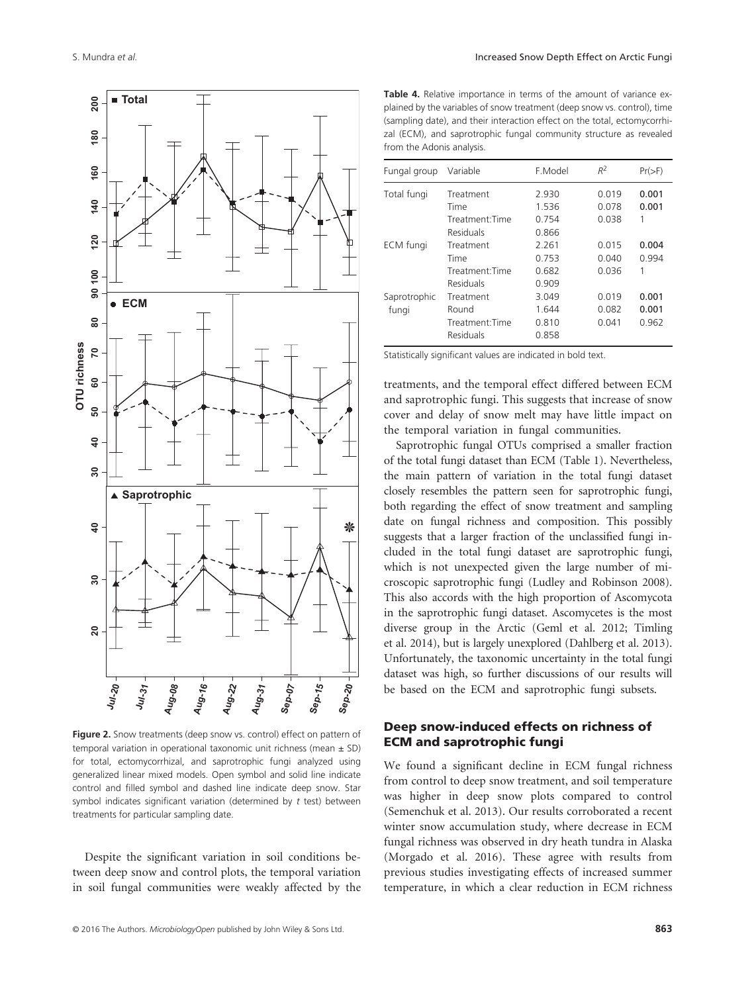

**Figure 2.** Snow treatments (deep snow vs. control) effect on pattern of temporal variation in operational taxonomic unit richness (mean  $\pm$  SD) for total, ectomycorrhizal, and saprotrophic fungi analyzed using generalized linear mixed models. Open symbol and solid line indicate control and filled symbol and dashed line indicate deep snow. Star symbol indicates significant variation (determined by *t* test) between

Despite the significant variation in soil conditions between deep snow and control plots, the temporal variation in soil fungal communities were weakly affected by the

**Table 4.** Relative importance in terms of the amount of variance explained by the variables of snow treatment (deep snow vs. control), time (sampling date), and their interaction effect on the total, ectomycorrhizal (ECM), and saprotrophic fungal community structure as revealed from the Adonis analysis.

| Fungal group     | Variable        | F.Model | $R^2$ | $Pr(>=F)$ |
|------------------|-----------------|---------|-------|-----------|
| Total fungi      | Treatment       | 2.930   | 0.019 | 0.001     |
|                  | Time            | 1.536   | 0.078 | 0.001     |
|                  | Treatment: Time | 0.754   | 0.038 | 1         |
|                  | Residuals       | 0.866   |       |           |
| <b>ECM</b> fungi | Treatment       | 2.261   | 0.015 | 0.004     |
|                  | Time            | 0.753   | 0.040 | 0.994     |
|                  | Treatment Time  | 0.682   | 0.036 | 1         |
|                  | Residuals       | 0.909   |       |           |
| Saprotrophic     | Treatment       | 3.049   | 0.019 | 0.001     |
| fungi            | Round           | 1.644   | 0.082 | 0.001     |
|                  | Treatment:Time  | 0.810   | 0.041 | 0.962     |
|                  | Residuals       | 0.858   |       |           |

Statistically significant values are indicated in bold text.

treatments, and the temporal effect differed between ECM and saprotrophic fungi. This suggests that increase of snow cover and delay of snow melt may have little impact on the temporal variation in fungal communities.

Saprotrophic fungal OTUs comprised a smaller fraction of the total fungi dataset than ECM (Table 1). Nevertheless, the main pattern of variation in the total fungi dataset closely resembles the pattern seen for saprotrophic fungi, both regarding the effect of snow treatment and sampling date on fungal richness and composition. This possibly suggests that a larger fraction of the unclassified fungi included in the total fungi dataset are saprotrophic fungi, which is not unexpected given the large number of microscopic saprotrophic fungi (Ludley and Robinson 2008). This also accords with the high proportion of Ascomycota in the saprotrophic fungi dataset. Ascomycetes is the most diverse group in the Arctic (Geml et al. 2012; Timling et al. 2014), but is largely unexplored (Dahlberg et al. 2013). Unfortunately, the taxonomic uncertainty in the total fungi dataset was high, so further discussions of our results will be based on the ECM and saprotrophic fungi subsets.

#### Deep snow-induced effects on richness of ECM and saprotrophic fungi

We found a significant decline in ECM fungal richness from control to deep snow treatment, and soil temperature was higher in deep snow plots compared to control (Semenchuk et al. 2013). Our results corroborated a recent winter snow accumulation study, where decrease in ECM fungal richness was observed in dry heath tundra in Alaska (Morgado et al. 2016). These agree with results from previous studies investigating effects of increased summer temperature, in which a clear reduction in ECM richness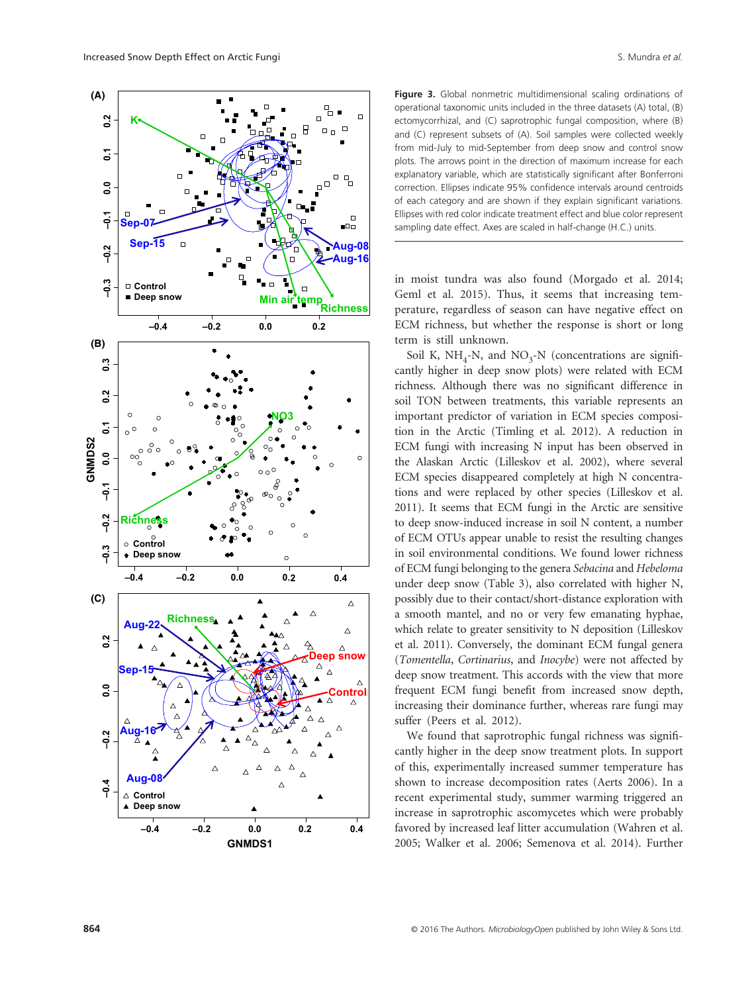Increased Snow Depth Effect on Arctic Fungi State of State of State of *al.* Arctic Fungi S. Mundra *et al.* S. Mundra *et al.* 



**Figure 3.** Global nonmetric multidimensional scaling ordinations of operational taxonomic units included in the three datasets (A) total, (B) ectomycorrhizal, and (C) saprotrophic fungal composition, where (B) and (C) represent subsets of (A). Soil samples were collected weekly from mid-July to mid-September from deep snow and control snow plots. The arrows point in the direction of maximum increase for each explanatory variable, which are statistically significant after Bonferroni correction. Ellipses indicate 95% confidence intervals around centroids of each category and are shown if they explain significant variations. Ellipses with red color indicate treatment effect and blue color represent sampling date effect. Axes are scaled in half-change (H.C.) units.

in moist tundra was also found (Morgado et al. 2014; Geml et al. 2015). Thus, it seems that increasing temperature, regardless of season can have negative effect on ECM richness, but whether the response is short or long term is still unknown.

Soil K, NH<sub>4</sub>-N, and NO<sub>3</sub>-N (concentrations are significantly higher in deep snow plots) were related with ECM richness. Although there was no significant difference in soil TON between treatments, this variable represents an important predictor of variation in ECM species composition in the Arctic (Timling et al. 2012). A reduction in ECM fungi with increasing N input has been observed in the Alaskan Arctic (Lilleskov et al. 2002), where several ECM species disappeared completely at high N concentrations and were replaced by other species (Lilleskov et al. 2011). It seems that ECM fungi in the Arctic are sensitive to deep snow-induced increase in soil N content, a number of ECM OTUs appear unable to resist the resulting changes in soil environmental conditions. We found lower richness of ECM fungi belonging to the genera *Sebacina* and *Hebeloma* under deep snow (Table 3), also correlated with higher N, possibly due to their contact/short-distance exploration with a smooth mantel, and no or very few emanating hyphae, which relate to greater sensitivity to N deposition (Lilleskov et al. 2011). Conversely, the dominant ECM fungal genera (*Tomentella*, *Cortinarius*, and *Inocybe*) were not affected by deep snow treatment. This accords with the view that more frequent ECM fungi benefit from increased snow depth, increasing their dominance further, whereas rare fungi may suffer (Peers et al. 2012).

We found that saprotrophic fungal richness was significantly higher in the deep snow treatment plots. In support of this, experimentally increased summer temperature has shown to increase decomposition rates (Aerts 2006). In a recent experimental study, summer warming triggered an increase in saprotrophic ascomycetes which were probably favored by increased leaf litter accumulation (Wahren et al. 2005; Walker et al. 2006; Semenova et al. 2014). Further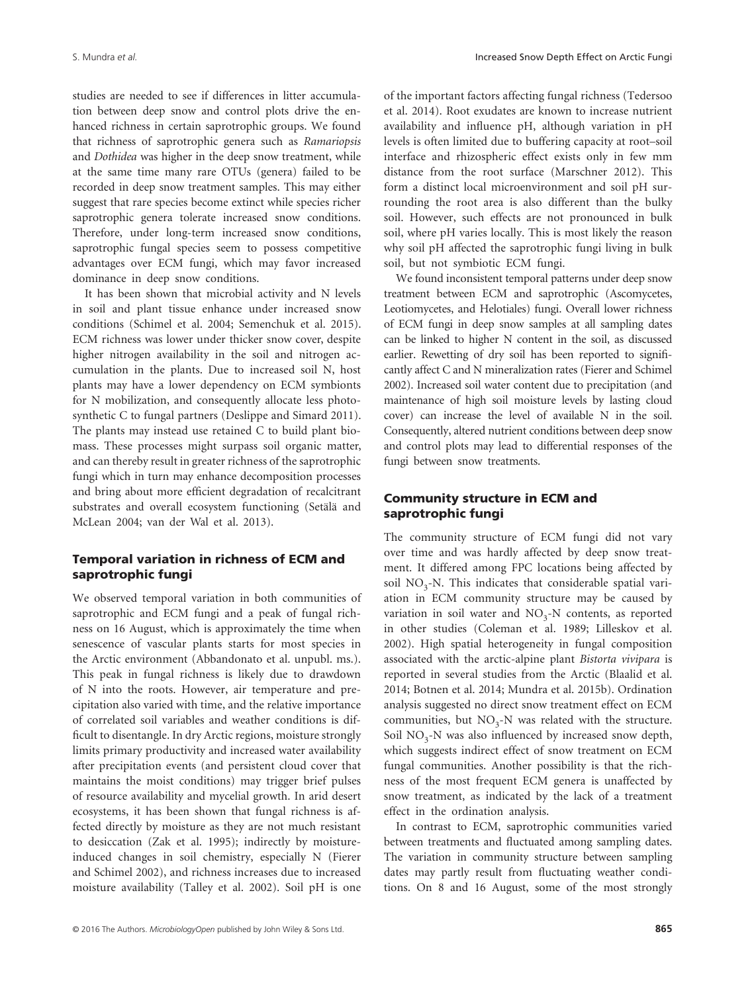studies are needed to see if differences in litter accumulation between deep snow and control plots drive the enhanced richness in certain saprotrophic groups. We found that richness of saprotrophic genera such as *Ramariopsis* and *Dothidea* was higher in the deep snow treatment, while at the same time many rare OTUs (genera) failed to be recorded in deep snow treatment samples. This may either suggest that rare species become extinct while species richer saprotrophic genera tolerate increased snow conditions. Therefore, under long-term increased snow conditions, saprotrophic fungal species seem to possess competitive advantages over ECM fungi, which may favor increased dominance in deep snow conditions.

It has been shown that microbial activity and N levels in soil and plant tissue enhance under increased snow conditions (Schimel et al. 2004; Semenchuk et al. 2015). ECM richness was lower under thicker snow cover, despite higher nitrogen availability in the soil and nitrogen accumulation in the plants. Due to increased soil N, host plants may have a lower dependency on ECM symbionts for N mobilization, and consequently allocate less photosynthetic C to fungal partners (Deslippe and Simard 2011). The plants may instead use retained C to build plant biomass. These processes might surpass soil organic matter, and can thereby result in greater richness of the saprotrophic fungi which in turn may enhance decomposition processes and bring about more efficient degradation of recalcitrant substrates and overall ecosystem functioning (Setälä and McLean 2004; van der Wal et al. 2013).

### Temporal variation in richness of ECM and saprotrophic fungi

We observed temporal variation in both communities of saprotrophic and ECM fungi and a peak of fungal richness on 16 August, which is approximately the time when senescence of vascular plants starts for most species in the Arctic environment (Abbandonato et al. unpubl. ms.). This peak in fungal richness is likely due to drawdown of N into the roots. However, air temperature and precipitation also varied with time, and the relative importance of correlated soil variables and weather conditions is difficult to disentangle. In dry Arctic regions, moisture strongly limits primary productivity and increased water availability after precipitation events (and persistent cloud cover that maintains the moist conditions) may trigger brief pulses of resource availability and mycelial growth. In arid desert ecosystems, it has been shown that fungal richness is affected directly by moisture as they are not much resistant to desiccation (Zak et al. 1995); indirectly by moistureinduced changes in soil chemistry, especially N (Fierer and Schimel 2002), and richness increases due to increased moisture availability (Talley et al. 2002). Soil pH is one of the important factors affecting fungal richness (Tedersoo et al. 2014). Root exudates are known to increase nutrient availability and influence pH, although variation in pH levels is often limited due to buffering capacity at root–soil interface and rhizospheric effect exists only in few mm distance from the root surface (Marschner 2012). This form a distinct local microenvironment and soil pH surrounding the root area is also different than the bulky soil. However, such effects are not pronounced in bulk soil, where pH varies locally. This is most likely the reason why soil pH affected the saprotrophic fungi living in bulk soil, but not symbiotic ECM fungi.

We found inconsistent temporal patterns under deep snow treatment between ECM and saprotrophic (Ascomycetes, Leotiomycetes, and Helotiales) fungi. Overall lower richness of ECM fungi in deep snow samples at all sampling dates can be linked to higher N content in the soil, as discussed earlier. Rewetting of dry soil has been reported to significantly affect C and N mineralization rates (Fierer and Schimel 2002). Increased soil water content due to precipitation (and maintenance of high soil moisture levels by lasting cloud cover) can increase the level of available N in the soil. Consequently, altered nutrient conditions between deep snow and control plots may lead to differential responses of the fungi between snow treatments.

### Community structure in ECM and saprotrophic fungi

The community structure of ECM fungi did not vary over time and was hardly affected by deep snow treatment. It differed among FPC locations being affected by soil  $NO<sub>3</sub>$ -N. This indicates that considerable spatial variation in ECM community structure may be caused by variation in soil water and  $NO<sub>3</sub>-N$  contents, as reported in other studies (Coleman et al. 1989; Lilleskov et al. 2002). High spatial heterogeneity in fungal composition associated with the arctic-alpine plant *Bistorta vivipara* is reported in several studies from the Arctic (Blaalid et al. 2014; Botnen et al. 2014; Mundra et al. 2015b). Ordination analysis suggested no direct snow treatment effect on ECM communities, but  $NO<sub>3</sub>-N$  was related with the structure. Soil  $NO<sub>3</sub>$ -N was also influenced by increased snow depth, which suggests indirect effect of snow treatment on ECM fungal communities. Another possibility is that the richness of the most frequent ECM genera is unaffected by snow treatment, as indicated by the lack of a treatment effect in the ordination analysis.

In contrast to ECM, saprotrophic communities varied between treatments and fluctuated among sampling dates. The variation in community structure between sampling dates may partly result from fluctuating weather conditions. On 8 and 16 August, some of the most strongly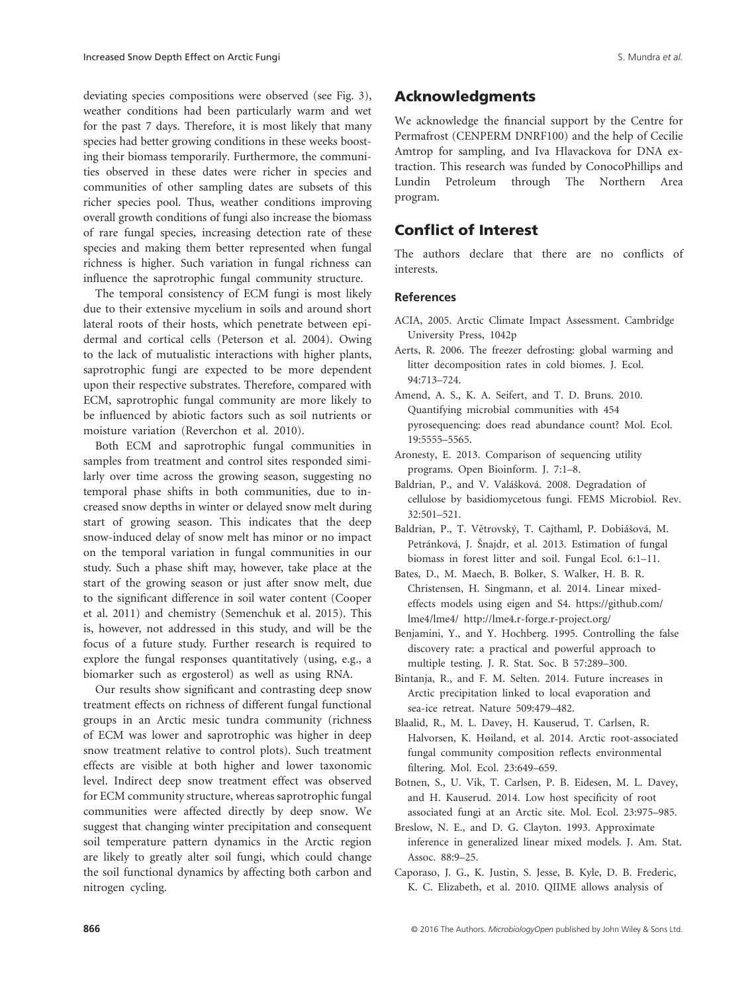deviating species compositions were observed (see Fig. 3), weather conditions had been particularly warm and wet for the past 7 days. Therefore, it is most likely that many species had better growing conditions in these weeks boosting their biomass temporarily. Furthermore, the communities observed in these dates were richer in species and communities of other sampling dates are subsets of this richer species pool. Thus, weather conditions improving overall growth conditions of fungi also increase the biomass of rare fungal species, increasing detection rate of these species and making them better represented when fungal richness is higher. Such variation in fungal richness can influence the saprotrophic fungal community structure.

The temporal consistency of ECM fungi is most likely due to their extensive mycelium in soils and around short lateral roots of their hosts, which penetrate between epidermal and cortical cells (Peterson et al. 2004). Owing to the lack of mutualistic interactions with higher plants, saprotrophic fungi are expected to be more dependent upon their respective substrates. Therefore, compared with ECM, saprotrophic fungal community are more likely to be influenced by abiotic factors such as soil nutrients or moisture variation (Reverchon et al. 2010).

Both ECM and saprotrophic fungal communities in samples from treatment and control sites responded similarly over time across the growing season, suggesting no temporal phase shifts in both communities, due to increased snow depths in winter or delayed snow melt during start of growing season. This indicates that the deep snow-induced delay of snow melt has minor or no impact on the temporal variation in fungal communities in our study. Such a phase shift may, however, take place at the start of the growing season or just after snow melt, due to the significant difference in soil water content (Cooper et al. 2011) and chemistry (Semenchuk et al. 2015). This is, however, not addressed in this study, and will be the focus of a future study. Further research is required to explore the fungal responses quantitatively (using, e.g., a biomarker such as ergosterol) as well as using RNA.

Our results show significant and contrasting deep snow treatment effects on richness of different fungal functional groups in an Arctic mesic tundra community (richness of ECM was lower and saprotrophic was higher in deep snow treatment relative to control plots). Such treatment effects are visible at both higher and lower taxonomic level. Indirect deep snow treatment effect was observed for ECM community structure, whereas saprotrophic fungal communities were affected directly by deep snow. We suggest that changing winter precipitation and consequent soil temperature pattern dynamics in the Arctic region are likely to greatly alter soil fungi, which could change the soil functional dynamics by affecting both carbon and nitrogen cycling.

## Acknowledgments

We acknowledge the financial support by the Centre for Permafrost (CENPERM DNRF100) and the help of Cecilie Amtrop for sampling, and Iva Hlavackova for DNA extraction. This research was funded by ConocoPhillips and Lundin Petroleum through The Northern Area program.

# Conflict of Interest

The authors declare that there are no conflicts of interests.

#### **References**

- ACIA, 2005. Arctic Climate Impact Assessment. Cambridge University Press, 1042p
- Aerts, R. 2006. The freezer defrosting: global warming and litter decomposition rates in cold biomes. J. Ecol. 94:713–724.
- Amend, A. S., K. A. Seifert, and T. D. Bruns. 2010. Quantifying microbial communities with 454 pyrosequencing: does read abundance count? Mol. Ecol. 19:5555–5565.
- Aronesty, E. 2013. Comparison of sequencing utility programs. Open Bioinform. J. 7:1–8.
- Baldrian, P., and V. Valášková. 2008. Degradation of cellulose by basidiomycetous fungi. FEMS Microbiol. Rev. 32:501–521.
- Baldrian, P., T. Větrovský, T. Cajthaml, P. Dobiášová, M. Petránková, J. Šnajdr, et al. 2013. Estimation of fungal biomass in forest litter and soil. Fungal Ecol. 6:1–11.
- Bates, D., M. Maech, B. Bolker, S. Walker, H. B. R. Christensen, H. Singmann, et al. 2014. Linear mixedeffects models using eigen and S4. [https://github.com/](https://github.com/lme4/lme4/) [lme4/lme4/](https://github.com/lme4/lme4/) <http://lme4.r-forge.r-project.org/>
- Benjamini, Y., and Y. Hochberg. 1995. Controlling the false discovery rate: a practical and powerful approach to multiple testing. J. R. Stat. Soc. B 57:289–300.
- Bintanja, R., and F. M. Selten. 2014. Future increases in Arctic precipitation linked to local evaporation and sea-ice retreat. Nature 509:479–482.
- Blaalid, R., M. L. Davey, H. Kauserud, T. Carlsen, R. Halvorsen, K. Høiland, et al. 2014. Arctic root-associated fungal community composition reflects environmental filtering. Mol. Ecol. 23:649–659.
- Botnen, S., U. Vik, T. Carlsen, P. B. Eidesen, M. L. Davey, and H. Kauserud. 2014. Low host specificity of root associated fungi at an Arctic site. Mol. Ecol. 23:975–985.
- Breslow, N. E., and D. G. Clayton. 1993. Approximate inference in generalized linear mixed models. J. Am. Stat. Assoc. 88:9–25.
- Caporaso, J. G., K. Justin, S. Jesse, B. Kyle, D. B. Frederic, K. C. Elizabeth, et al. 2010. QIIME allows analysis of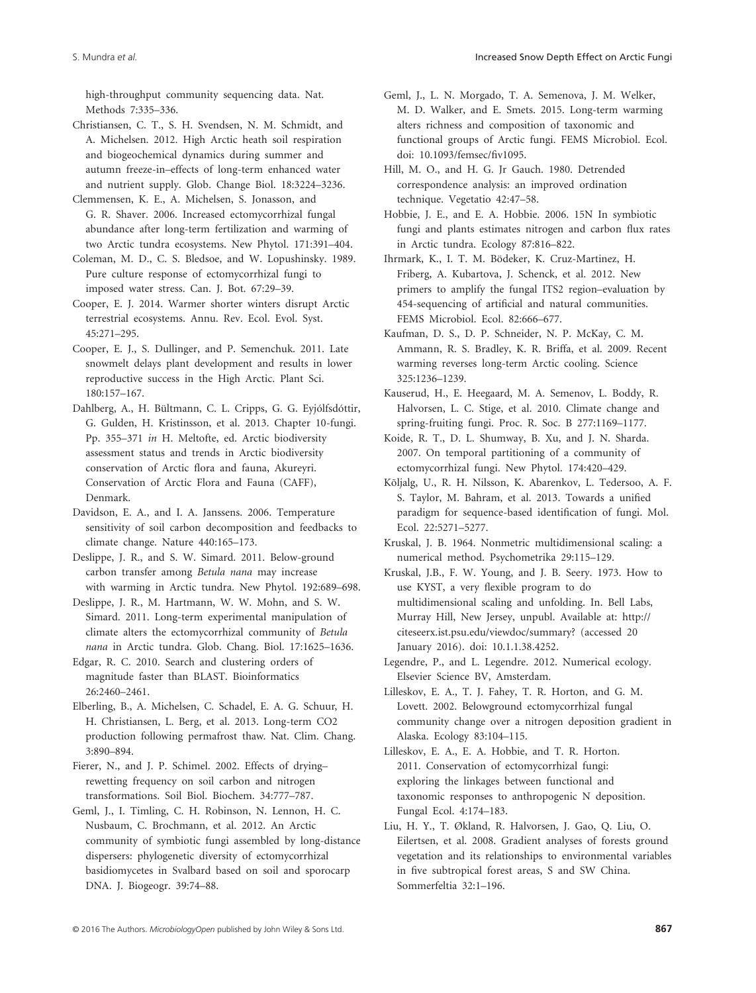high-throughput community sequencing data. Nat. Methods 7:335–336.

- Christiansen, C. T., S. H. Svendsen, N. M. Schmidt, and A. Michelsen. 2012. High Arctic heath soil respiration and biogeochemical dynamics during summer and autumn freeze-in–effects of long-term enhanced water and nutrient supply. Glob. Change Biol. 18:3224–3236.
- Clemmensen, K. E., A. Michelsen, S. Jonasson, and G. R. Shaver. 2006. Increased ectomycorrhizal fungal abundance after long-term fertilization and warming of two Arctic tundra ecosystems. New Phytol. 171:391–404.
- Coleman, M. D., C. S. Bledsoe, and W. Lopushinsky. 1989. Pure culture response of ectomycorrhizal fungi to imposed water stress. Can. J. Bot. 67:29–39.
- Cooper, E. J. 2014. Warmer shorter winters disrupt Arctic terrestrial ecosystems. Annu. Rev. Ecol. Evol. Syst. 45:271–295.
- Cooper, E. J., S. Dullinger, and P. Semenchuk. 2011. Late snowmelt delays plant development and results in lower reproductive success in the High Arctic. Plant Sci. 180:157–167.
- Dahlberg, A., H. Bültmann, C. L. Cripps, G. G. Eyjólfsdóttir, G. Gulden, H. Kristinsson, et al. 2013. Chapter 10-fungi. Pp. 355–371 *in* H. Meltofte, ed. Arctic biodiversity assessment status and trends in Arctic biodiversity conservation of Arctic flora and fauna, Akureyri. Conservation of Arctic Flora and Fauna (CAFF), Denmark.
- Davidson, E. A., and I. A. Janssens. 2006. Temperature sensitivity of soil carbon decomposition and feedbacks to climate change. Nature 440:165–173.
- Deslippe, J. R., and S. W. Simard. 2011. Below-ground carbon transfer among *Betula nana* may increase with warming in Arctic tundra. New Phytol. 192:689–698.
- Deslippe, J. R., M. Hartmann, W. W. Mohn, and S. W. Simard. 2011. Long-term experimental manipulation of climate alters the ectomycorrhizal community of *Betula nana* in Arctic tundra. Glob. Chang. Biol. 17:1625–1636.
- Edgar, R. C. 2010. Search and clustering orders of magnitude faster than BLAST. Bioinformatics 26:2460–2461.
- Elberling, B., A. Michelsen, C. Schadel, E. A. G. Schuur, H. H. Christiansen, L. Berg, et al. 2013. Long-term CO2 production following permafrost thaw. Nat. Clim. Chang. 3:890–894.
- Fierer, N., and J. P. Schimel. 2002. Effects of drying– rewetting frequency on soil carbon and nitrogen transformations. Soil Biol. Biochem. 34:777–787.
- Geml, J., I. Timling, C. H. Robinson, N. Lennon, H. C. Nusbaum, C. Brochmann, et al. 2012. An Arctic community of symbiotic fungi assembled by long-distance dispersers: phylogenetic diversity of ectomycorrhizal basidiomycetes in Svalbard based on soil and sporocarp DNA. J. Biogeogr. 39:74–88.
- Geml, J., L. N. Morgado, T. A. Semenova, J. M. Welker, M. D. Walker, and E. Smets. 2015. Long-term warming alters richness and composition of taxonomic and functional groups of Arctic fungi. FEMS Microbiol. Ecol. doi: [10.1093/femsec/fiv1095.](http://dx.doi.org/10.1093/femsec)
- Hill, M. O., and H. G. Jr Gauch. 1980. Detrended correspondence analysis: an improved ordination technique. Vegetatio 42:47–58.
- Hobbie, J. E., and E. A. Hobbie. 2006. 15N In symbiotic fungi and plants estimates nitrogen and carbon flux rates in Arctic tundra. Ecology 87:816–822.
- Ihrmark, K., I. T. M. Bödeker, K. Cruz-Martinez, H. Friberg, A. Kubartova, J. Schenck, et al. 2012. New primers to amplify the fungal ITS2 region–evaluation by 454-sequencing of artificial and natural communities. FEMS Microbiol. Ecol. 82:666-677.
- Kaufman, D. S., D. P. Schneider, N. P. McKay, C. M. Ammann, R. S. Bradley, K. R. Briffa, et al. 2009. Recent warming reverses long-term Arctic cooling. Science 325:1236–1239.
- Kauserud, H., E. Heegaard, M. A. Semenov, L. Boddy, R. Halvorsen, L. C. Stige, et al. 2010. Climate change and spring-fruiting fungi. Proc. R. Soc. B 277:1169–1177.
- Koide, R. T., D. L. Shumway, B. Xu, and J. N. Sharda. 2007. On temporal partitioning of a community of ectomycorrhizal fungi. New Phytol. 174:420–429.
- Kõljalg, U., R. H. Nilsson, K. Abarenkov, L. Tedersoo, A. F. S. Taylor, M. Bahram, et al. 2013. Towards a unified paradigm for sequence-based identification of fungi. Mol. Ecol. 22:5271–5277.
- Kruskal, J. B. 1964. Nonmetric multidimensional scaling: a numerical method. Psychometrika 29:115–129.
- Kruskal, J.B., F. W. Young, and J. B. Seery. 1973. How to use KYST, a very flexible program to do multidimensional scaling and unfolding. In. Bell Labs, Murray Hill, New Jersey, unpubl. Available at: [http://](http://citeseerx.ist.psu.edu/viewdoc/summary) [citeseerx.ist.psu.edu/viewdoc/summary](http://citeseerx.ist.psu.edu/viewdoc/summary)? (accessed 20 January 2016). doi: 10.1.1.38.4252.
- Legendre, P., and L. Legendre. 2012. Numerical ecology. Elsevier Science BV, Amsterdam.
- Lilleskov, E. A., T. J. Fahey, T. R. Horton, and G. M. Lovett. 2002. Belowground ectomycorrhizal fungal community change over a nitrogen deposition gradient in Alaska. Ecology 83:104–115.
- Lilleskov, E. A., E. A. Hobbie, and T. R. Horton. 2011. Conservation of ectomycorrhizal fungi: exploring the linkages between functional and taxonomic responses to anthropogenic N deposition. Fungal Ecol. 4:174–183.
- Liu, H. Y., T. Økland, R. Halvorsen, J. Gao, Q. Liu, O. Eilertsen, et al. 2008. Gradient analyses of forests ground vegetation and its relationships to environmental variables in five subtropical forest areas, S and SW China. Sommerfeltia 32:1–196.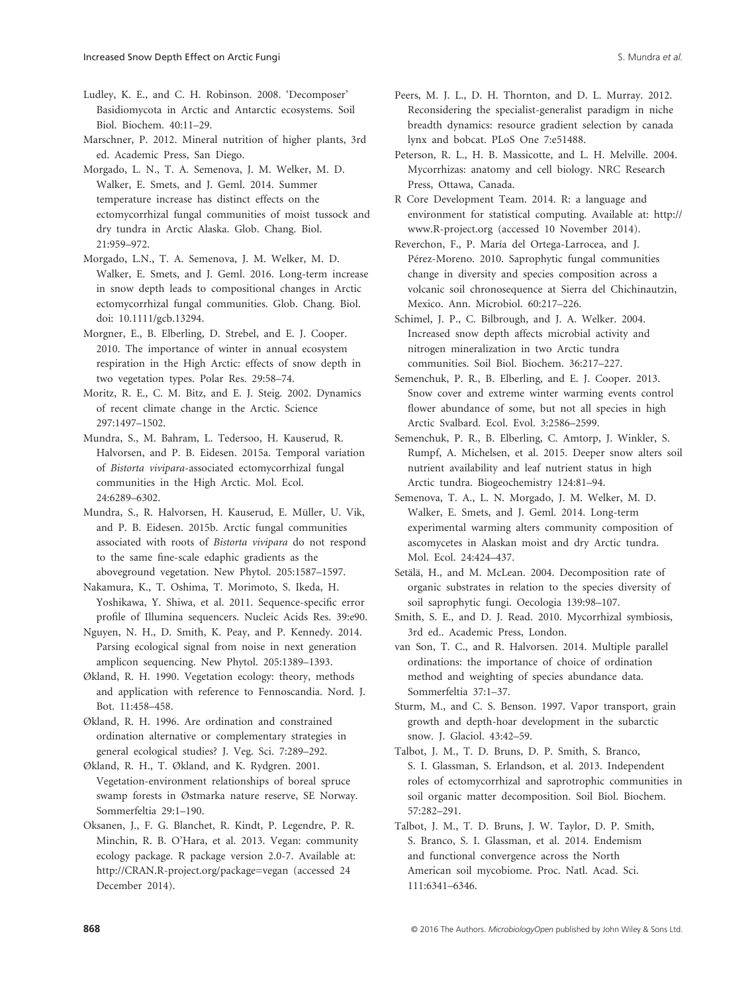Ludley, K. E., and C. H. Robinson. 2008. 'Decomposer' Basidiomycota in Arctic and Antarctic ecosystems. Soil Biol. Biochem. 40:11–29.

Marschner, P. 2012. Mineral nutrition of higher plants, 3rd ed. Academic Press, San Diego.

Morgado, L. N., T. A. Semenova, J. M. Welker, M. D. Walker, E. Smets, and J. Geml. 2014. Summer temperature increase has distinct effects on the ectomycorrhizal fungal communities of moist tussock and dry tundra in Arctic Alaska. Glob. Chang. Biol. 21:959–972.

Morgado, L.N., T. A. Semenova, J. M. Welker, M. D. Walker, E. Smets, and J. Geml. 2016. Long-term increase in snow depth leads to compositional changes in Arctic ectomycorrhizal fungal communities. Glob. Chang. Biol. doi: [10.1111/gcb.13294.](http://dx.doi.org/10.1111/gcb.13294)

Morgner, E., B. Elberling, D. Strebel, and E. J. Cooper. 2010. The importance of winter in annual ecosystem respiration in the High Arctic: effects of snow depth in two vegetation types. Polar Res. 29:58–74.

Moritz, R. E., C. M. Bitz, and E. J. Steig. 2002. Dynamics of recent climate change in the Arctic. Science 297:1497–1502.

Mundra, S., M. Bahram, L. Tedersoo, H. Kauserud, R. Halvorsen, and P. B. Eidesen. 2015a. Temporal variation of *Bistorta vivipara*-associated ectomycorrhizal fungal communities in the High Arctic. Mol. Ecol. 24:6289–6302.

Mundra, S., R. Halvorsen, H. Kauserud, E. Müller, U. Vik, and P. B. Eidesen. 2015b. Arctic fungal communities associated with roots of *Bistorta vivipara* do not respond to the same fine-scale edaphic gradients as the aboveground vegetation. New Phytol. 205:1587–1597.

Nakamura, K., T. Oshima, T. Morimoto, S. Ikeda, H. Yoshikawa, Y. Shiwa, et al. 2011. Sequence-specific error profile of Illumina sequencers. Nucleic Acids Res. 39:e90.

Nguyen, N. H., D. Smith, K. Peay, and P. Kennedy. 2014. Parsing ecological signal from noise in next generation amplicon sequencing. New Phytol. 205:1389–1393.

Økland, R. H. 1990. Vegetation ecology: theory, methods and application with reference to Fennoscandia. Nord. J. Bot. 11:458–458.

Økland, R. H. 1996. Are ordination and constrained ordination alternative or complementary strategies in general ecological studies? J. Veg. Sci. 7:289–292.

Økland, R. H., T. Økland, and K. Rydgren. 2001. Vegetation-environment relationships of boreal spruce swamp forests in Østmarka nature reserve, SE Norway. Sommerfeltia 29:1–190.

Oksanen, J., F. G. Blanchet, R. Kindt, P. Legendre, P. R. Minchin, R. B. O'Hara, et al. 2013. Vegan: community ecology package. R package version 2.0-7. Available at: <http://CRAN.R-project.org/package=vegan> (accessed 24 December 2014).

Peers, M. J. L., D. H. Thornton, and D. L. Murray. 2012. Reconsidering the specialist-generalist paradigm in niche breadth dynamics: resource gradient selection by canada lynx and bobcat. PLoS One 7:e51488.

Peterson, R. L., H. B. Massicotte, and L. H. Melville. 2004. Mycorrhizas: anatomy and cell biology. NRC Research Press, Ottawa, Canada.

R Core Development Team. 2014. R: a language and environment for statistical computing. Available at: [http://](http://www.R-project.org) [www.R-project.org](http://www.R-project.org) (accessed 10 November 2014).

Reverchon, F., P. María del Ortega-Larrocea, and J. Pérez-Moreno. 2010. Saprophytic fungal communities change in diversity and species composition across a volcanic soil chronosequence at Sierra del Chichinautzin, Mexico. Ann. Microbiol. 60:217–226.

Schimel, J. P., C. Bilbrough, and J. A. Welker. 2004. Increased snow depth affects microbial activity and nitrogen mineralization in two Arctic tundra communities. Soil Biol. Biochem. 36:217–227.

Semenchuk, P. R., B. Elberling, and E. J. Cooper. 2013. Snow cover and extreme winter warming events control flower abundance of some, but not all species in high Arctic Svalbard. Ecol. Evol. 3:2586–2599.

Semenchuk, P. R., B. Elberling, C. Amtorp, J. Winkler, S. Rumpf, A. Michelsen, et al. 2015. Deeper snow alters soil nutrient availability and leaf nutrient status in high Arctic tundra. Biogeochemistry 124:81–94.

Semenova, T. A., L. N. Morgado, J. M. Welker, M. D. Walker, E. Smets, and J. Geml. 2014. Long-term experimental warming alters community composition of ascomycetes in Alaskan moist and dry Arctic tundra. Mol. Ecol. 24:424–437.

Setälä, H., and M. McLean. 2004. Decomposition rate of organic substrates in relation to the species diversity of soil saprophytic fungi. Oecologia 139:98–107.

Smith, S. E., and D. J. Read. 2010. Mycorrhizal symbiosis, 3rd ed.. Academic Press, London.

van Son, T. C., and R. Halvorsen. 2014. Multiple parallel ordinations: the importance of choice of ordination method and weighting of species abundance data. Sommerfeltia 37:1–37.

Sturm, M., and C. S. Benson. 1997. Vapor transport, grain growth and depth-hoar development in the subarctic snow. J. Glaciol. 43:42–59.

Talbot, J. M., T. D. Bruns, D. P. Smith, S. Branco, S. I. Glassman, S. Erlandson, et al. 2013. Independent roles of ectomycorrhizal and saprotrophic communities in soil organic matter decomposition. Soil Biol. Biochem. 57:282–291.

Talbot, J. M., T. D. Bruns, J. W. Taylor, D. P. Smith, S. Branco, S. I. Glassman, et al. 2014. Endemism and functional convergence across the North American soil mycobiome. Proc. Natl. Acad. Sci. 111:6341–6346.